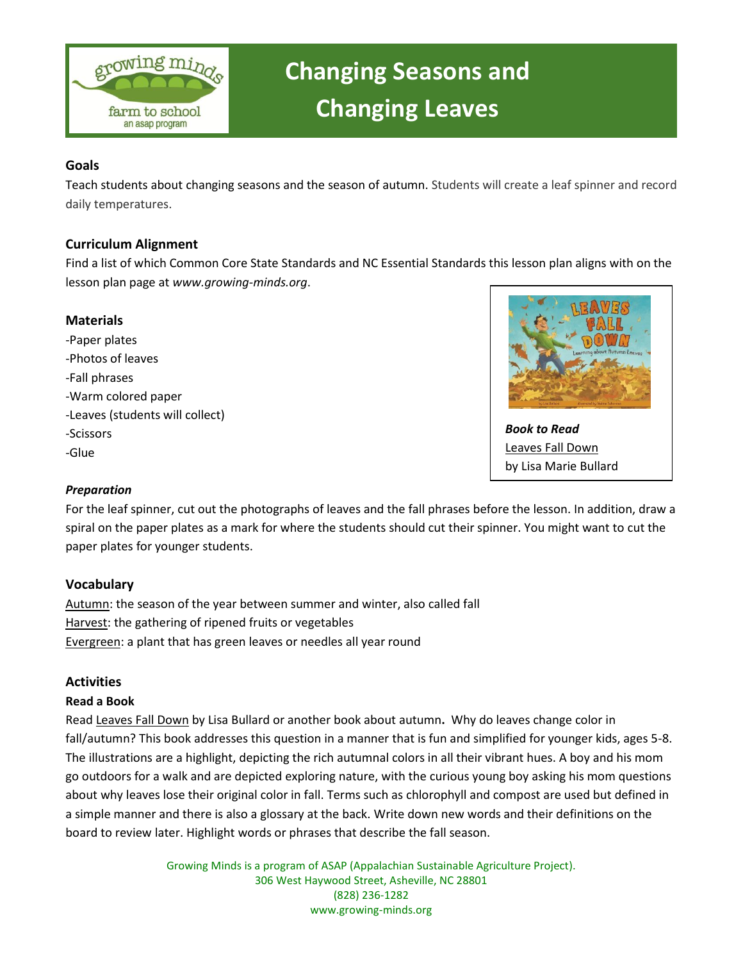

# **Changing Seasons and Changing Leaves**

#### **Goals**

Teach students about changing seasons and the season of autumn. Students will create a leaf spinner and record daily temperatures.

## **Curriculum Alignment**

Find a list of which Common Core State Standards and NC Essential Standards this lesson plan aligns with on the lesson plan page at *[www.growing-minds.org](http://www.growing-minds.org/)*.

## **Materials**

-Paper plates -Photos of leaves -Fall phrases -Warm colored paper -Leaves (students will collect) -Scissors -Glue



*Book to Read* Leaves Fall Down by Lisa Marie Bullard

## *Preparation*

For the leaf spinner, cut out the photographs of leaves and the fall phrases before the lesson. In addition, draw a spiral on the paper plates as a mark for where the students should cut their spinner. You might want to cut the paper plates for younger students.

## **Vocabulary**

Autumn: the season of the year between summer and winter, also called fall Harvest: the gathering of ripened fruits or vegetables Evergreen: a plant that has green leaves or needles all year round

## **Activities**

#### **Read a Book**

Read Leaves Fall Down by Lisa Bullard or another book about autumn**.** Why do leaves change color in fall/autumn? This book addresses this question in a manner that is fun and simplified for younger kids, ages 5-8. The illustrations are a highlight, depicting the rich autumnal colors in all their vibrant hues. A boy and his mom go outdoors for a walk and are depicted exploring nature, with the curious young boy asking his mom questions about why leaves lose their original color in fall. Terms such as chlorophyll and compost are used but defined in a simple manner and there is also a glossary at the back. Write down new words and their definitions on the board to review later. Highlight words or phrases that describe the fall season.

> Growing Minds is a program of ASAP (Appalachian Sustainable Agriculture Project). 306 West Haywood Street, Asheville, NC 28801 (828) 236-1282 www.growing-minds.org